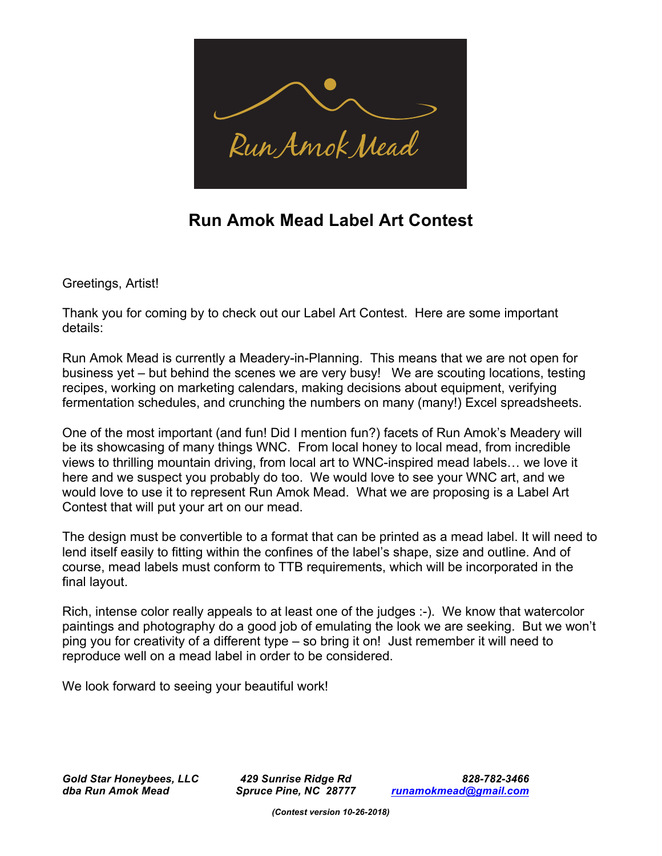

## **Run Amok Mead Label Art Contest**

Greetings, Artist!

Thank you for coming by to check out our Label Art Contest. Here are some important details:

Run Amok Mead is currently a Meadery-in-Planning. This means that we are not open for business yet – but behind the scenes we are very busy! We are scouting locations, testing recipes, working on marketing calendars, making decisions about equipment, verifying fermentation schedules, and crunching the numbers on many (many!) Excel spreadsheets.

One of the most important (and fun! Did I mention fun?) facets of Run Amok's Meadery will be its showcasing of many things WNC. From local honey to local mead, from incredible views to thrilling mountain driving, from local art to WNC-inspired mead labels… we love it here and we suspect you probably do too. We would love to see your WNC art, and we would love to use it to represent Run Amok Mead. What we are proposing is a Label Art Contest that will put your art on our mead.

The design must be convertible to a format that can be printed as a mead label. It will need to lend itself easily to fitting within the confines of the label's shape, size and outline. And of course, mead labels must conform to TTB requirements, which will be incorporated in the final layout.

Rich, intense color really appeals to at least one of the judges :-). We know that watercolor paintings and photography do a good job of emulating the look we are seeking. But we won't ping you for creativity of a different type – so bring it on! Just remember it will need to reproduce well on a mead label in order to be considered.

We look forward to seeing your beautiful work!

*Gold Star Honeybees, LLC 429 Sunrise Ridge Rd 828-782-3466 dba Run Amok Mead Spruce Pine, NC 28777 runamokmead@gmail.com*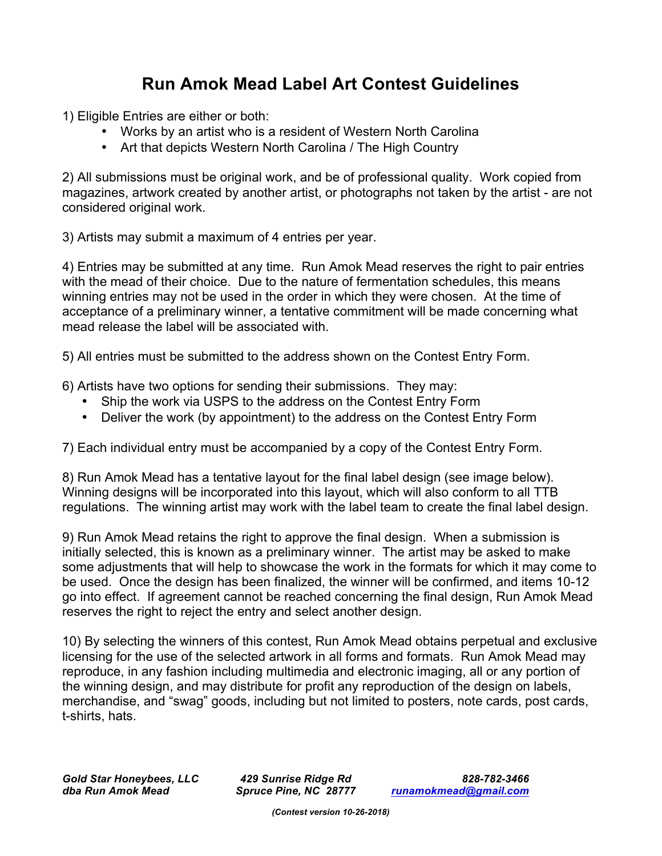## **Run Amok Mead Label Art Contest Guidelines**

1) Eligible Entries are either or both:

- Works by an artist who is a resident of Western North Carolina
- Art that depicts Western North Carolina / The High Country

2) All submissions must be original work, and be of professional quality. Work copied from magazines, artwork created by another artist, or photographs not taken by the artist - are not considered original work.

3) Artists may submit a maximum of 4 entries per year.

4) Entries may be submitted at any time. Run Amok Mead reserves the right to pair entries with the mead of their choice. Due to the nature of fermentation schedules, this means winning entries may not be used in the order in which they were chosen. At the time of acceptance of a preliminary winner, a tentative commitment will be made concerning what mead release the label will be associated with.

5) All entries must be submitted to the address shown on the Contest Entry Form.

6) Artists have two options for sending their submissions. They may:

- Ship the work via USPS to the address on the Contest Entry Form
- Deliver the work (by appointment) to the address on the Contest Entry Form

7) Each individual entry must be accompanied by a copy of the Contest Entry Form.

8) Run Amok Mead has a tentative layout for the final label design (see image below). Winning designs will be incorporated into this layout, which will also conform to all TTB regulations. The winning artist may work with the label team to create the final label design.

9) Run Amok Mead retains the right to approve the final design. When a submission is initially selected, this is known as a preliminary winner. The artist may be asked to make some adjustments that will help to showcase the work in the formats for which it may come to be used. Once the design has been finalized, the winner will be confirmed, and items 10-12 go into effect. If agreement cannot be reached concerning the final design, Run Amok Mead reserves the right to reject the entry and select another design.

10) By selecting the winners of this contest, Run Amok Mead obtains perpetual and exclusive licensing for the use of the selected artwork in all forms and formats. Run Amok Mead may reproduce, in any fashion including multimedia and electronic imaging, all or any portion of the winning design, and may distribute for profit any reproduction of the design on labels, merchandise, and "swag" goods, including but not limited to posters, note cards, post cards, t-shirts, hats.

*Gold Star Honeybees, LLC 429 Sunrise Ridge Rd 828-782-3466 dba Run Amok Mead Spruce Pine, NC 28777 runamokmead@gmail.com*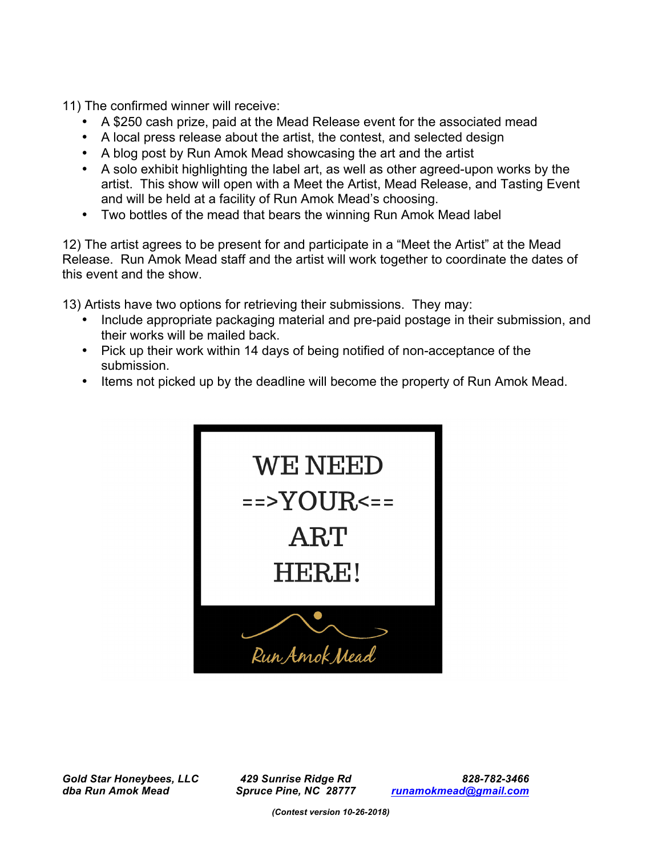11) The confirmed winner will receive:

- A \$250 cash prize, paid at the Mead Release event for the associated mead
- A local press release about the artist, the contest, and selected design
- A blog post by Run Amok Mead showcasing the art and the artist
- A solo exhibit highlighting the label art, as well as other agreed-upon works by the artist. This show will open with a Meet the Artist, Mead Release, and Tasting Event and will be held at a facility of Run Amok Mead's choosing.
- Two bottles of the mead that bears the winning Run Amok Mead label

12) The artist agrees to be present for and participate in a "Meet the Artist" at the Mead Release. Run Amok Mead staff and the artist will work together to coordinate the dates of this event and the show.

13) Artists have two options for retrieving their submissions. They may:

- Include appropriate packaging material and pre-paid postage in their submission, and their works will be mailed back.
- Pick up their work within 14 days of being notified of non-acceptance of the submission.
- Items not picked up by the deadline will become the property of Run Amok Mead.



*Gold Star Honeybees, LLC 429 Sunrise Ridge Rd 828-782-3466 dba Run Amok Mead Spruce Pine, NC 28777 runamokmead@gmail.com*